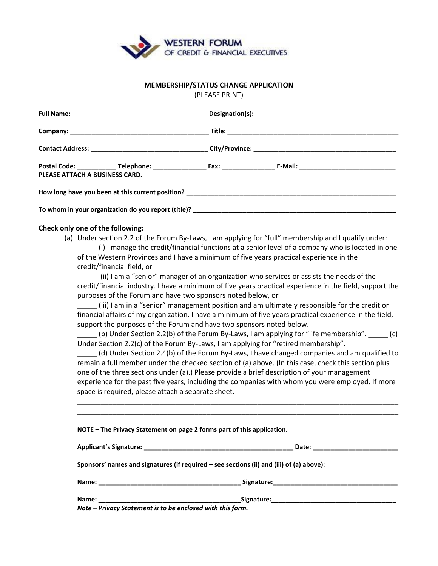

## **MEMBERSHIP/STATUS CHANGE APPLICATION**

(PLEASE PRINT)

|  |  | PLEASE ATTACH A BUSINESS CARD. |  |  |
|--|--|--------------------------------|--|--|
|  |  |                                |  |  |
|  |  |                                |  |  |

## **Check only one of the following:**

(a) Under section 2.2 of the Forum By-Laws, I am applying for "full" membership and I qualify under: \_\_\_\_\_ (i) I manage the credit/financial functions at a senior level of a company who is located in one

of the Western Provinces and I have a minimum of five years practical experience in the credit/financial field, or

\_\_\_\_\_ (ii) I am a "senior" manager of an organization who services or assists the needs of the credit/financial industry. I have a minimum of five years practical experience in the field, support the purposes of the Forum and have two sponsors noted below, or

\_\_\_\_\_ (iii) I am in a "senior" management position and am ultimately responsible for the credit or financial affairs of my organization. I have a minimum of five years practical experience in the field, support the purposes of the Forum and have two sponsors noted below.

\_\_\_\_\_ (b) Under Section 2.2(b) of the Forum By-Laws, I am applying for "life membership". \_\_\_\_\_ (c) Under Section 2.2(c) of the Forum By-Laws, I am applying for "retired membership".

\_\_\_\_\_ (d) Under Section 2.4(b) of the Forum By-Laws, I have changed companies and am qualified to remain a full member under the checked section of (a) above. (In this case, check this section plus one of the three sections under (a).) Please provide a brief description of your management experience for the past five years, including the companies with whom you were employed. If more space is required, please attach a separate sheet.

\_\_\_\_\_\_\_\_\_\_\_\_\_\_\_\_\_\_\_\_\_\_\_\_\_\_\_\_\_\_\_\_\_\_\_\_\_\_\_\_\_\_\_\_\_\_\_\_\_\_\_\_\_\_\_\_\_\_\_\_\_\_\_\_\_\_\_\_\_\_\_\_\_\_\_\_\_\_\_\_\_\_ \_\_\_\_\_\_\_\_\_\_\_\_\_\_\_\_\_\_\_\_\_\_\_\_\_\_\_\_\_\_\_\_\_\_\_\_\_\_\_\_\_\_\_\_\_\_\_\_\_\_\_\_\_\_\_\_\_\_\_\_\_\_\_\_\_\_\_\_\_\_\_\_\_\_\_\_\_\_\_\_\_\_

| NOTE - The Privacy Statement on page 2 forms part of this application. |  |  |
|------------------------------------------------------------------------|--|--|
|------------------------------------------------------------------------|--|--|

|                                                                                 | Date:                                                                                                          |  |
|---------------------------------------------------------------------------------|----------------------------------------------------------------------------------------------------------------|--|
|                                                                                 | Sponsors' names and signatures (if required – see sections (ii) and (iii) of (a) above):                       |  |
| Name:                                                                           | Signature: the contract of the contract of the contract of the contract of the contract of the contract of the |  |
| Name:<br>$\mathbf{a}$ , and a set the set of the set of the set of $\mathbf{a}$ | Signature: the contract of the contract of the contract of the contract of the contract of the contract of the |  |

*Note – Privacy Statement is to be enclosed with this form.*